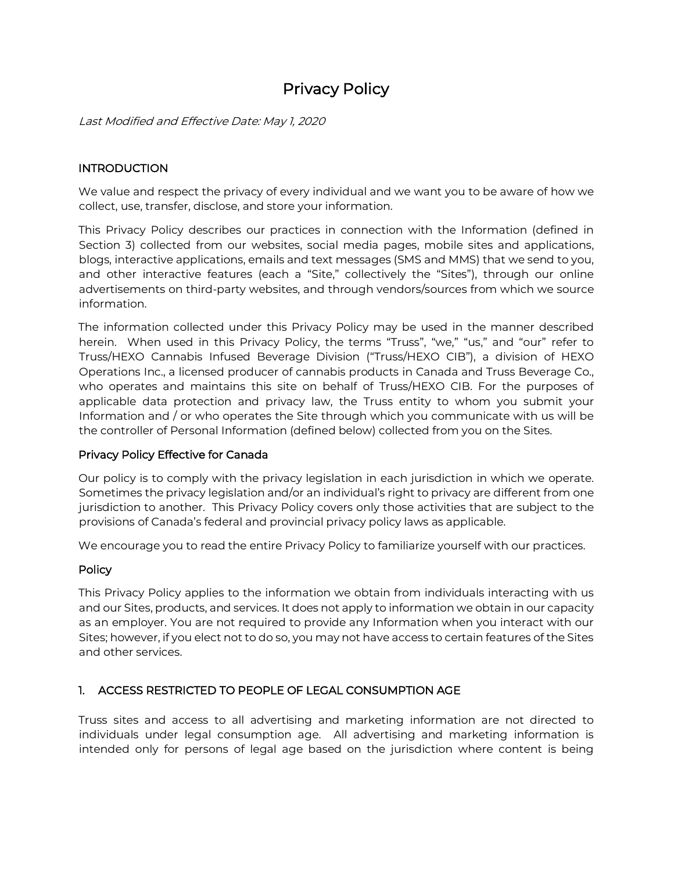# Privacy Policy

Last Modified and Effective Date: May 1, 2020

### **INTRODUCTION**

We value and respect the privacy of every individual and we want you to be aware of how we collect, use, transfer, disclose, and store your information.

This Privacy Policy describes our practices in connection with the Information (defined in Section 3) collected from our websites, social media pages, mobile sites and applications, blogs, interactive applications, emails and text messages (SMS and MMS) that we send to you, and other interactive features (each a "Site," collectively the "Sites"), through our online advertisements on third-party websites, and through vendors/sources from which we source information.

The information collected under this Privacy Policy may be used in the manner described herein. When used in this Privacy Policy, the terms "Truss", "we," "us," and "our" refer to Truss/HEXO Cannabis Infused Beverage Division ("Truss/HEXO CIB"), a division of HEXO Operations Inc., a licensed producer of cannabis products in Canada and Truss Beverage Co., who operates and maintains this site on behalf of Truss/HEXO CIB. For the purposes of applicable data protection and privacy law, the Truss entity to whom you submit your Information and / or who operates the Site through which you communicate with us will be the controller of Personal Information (defined below) collected from you on the Sites.

#### Privacy Policy Effective for Canada

Our policy is to comply with the privacy legislation in each jurisdiction in which we operate. Sometimes the privacy legislation and/or an individual's right to privacy are different from one jurisdiction to another. This Privacy Policy covers only those activities that are subject to the provisions of Canada's federal and provincial privacy policy laws as applicable.

We encourage you to read the entire Privacy Policy to familiarize yourself with our practices.

#### **Policy**

This Privacy Policy applies to the information we obtain from individuals interacting with us and our Sites, products, and services. It does not apply to information we obtain in our capacity as an employer. You are not required to provide any Information when you interact with our Sites; however, if you elect not to do so, you may not have access to certain features of the Sites and other services.

#### 1. ACCESS RESTRICTED TO PEOPLE OF LEGAL CONSUMPTION AGE

Truss sites and access to all advertising and marketing information are not directed to individuals under legal consumption age. All advertising and marketing information is intended only for persons of legal age based on the jurisdiction where content is being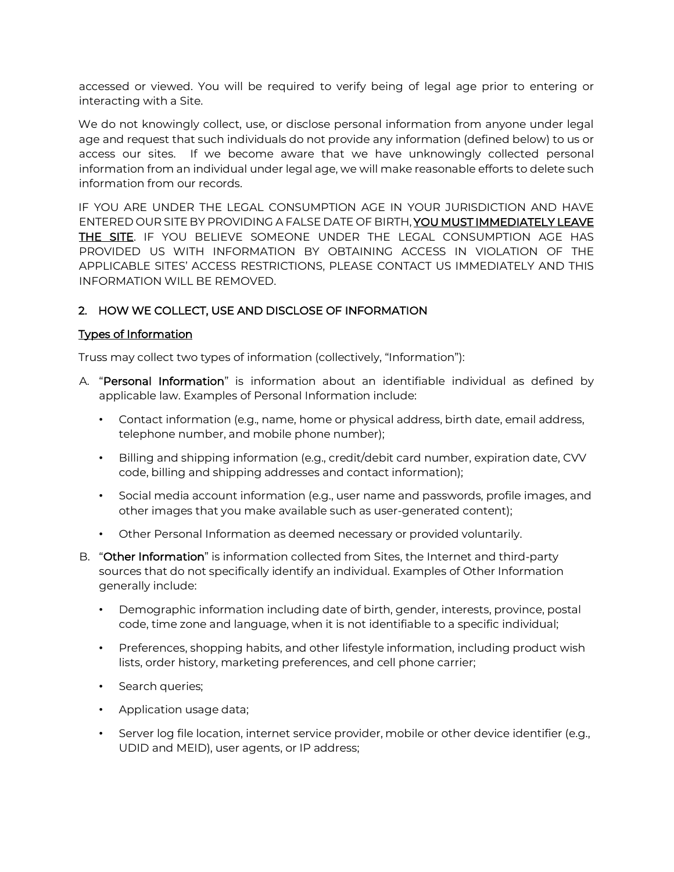accessed or viewed. You will be required to verify being of legal age prior to entering or interacting with a Site.

We do not knowingly collect, use, or disclose personal information from anyone under legal age and request that such individuals do not provide any information (defined below) to us or access our sites. If we become aware that we have unknowingly collected personal information from an individual under legal age, we will make reasonable efforts to delete such information from our records.

IF YOU ARE UNDER THE LEGAL CONSUMPTION AGE IN YOUR JURISDICTION AND HAVE ENTERED OUR SITE BY PROVIDING A FALSE DATE OF BIRTH, YOU MUST IMMEDIATELY LEAVE THE SITE. IF YOU BELIEVE SOMEONE UNDER THE LEGAL CONSUMPTION AGE HAS PROVIDED US WITH INFORMATION BY OBTAINING ACCESS IN VIOLATION OF THE APPLICABLE SITES' ACCESS RESTRICTIONS, PLEASE CONTACT US IMMEDIATELY AND THIS INFORMATION WILL BE REMOVED.

## 2. HOW WE COLLECT, USE AND DISCLOSE OF INFORMATION

#### Types of Information

Truss may collect two types of information (collectively, "Information"):

- A. "Personal Information" is information about an identifiable individual as defined by applicable law. Examples of Personal Information include:
	- Contact information (e.g., name, home or physical address, birth date, email address, telephone number, and mobile phone number);
	- Billing and shipping information (e.g., credit/debit card number, expiration date, CVV code, billing and shipping addresses and contact information);
	- Social media account information (e.g., user name and passwords, profile images, and other images that you make available such as user-generated content);
	- Other Personal Information as deemed necessary or provided voluntarily.
- B. "Other Information" is information collected from Sites, the Internet and third-party sources that do not specifically identify an individual. Examples of Other Information generally include:
	- Demographic information including date of birth, gender, interests, province, postal code, time zone and language, when it is not identifiable to a specific individual;
	- Preferences, shopping habits, and other lifestyle information, including product wish lists, order history, marketing preferences, and cell phone carrier;
	- Search queries;
	- Application usage data;
	- Server log file location, internet service provider, mobile or other device identifier (e.g., UDID and MEID), user agents, or IP address;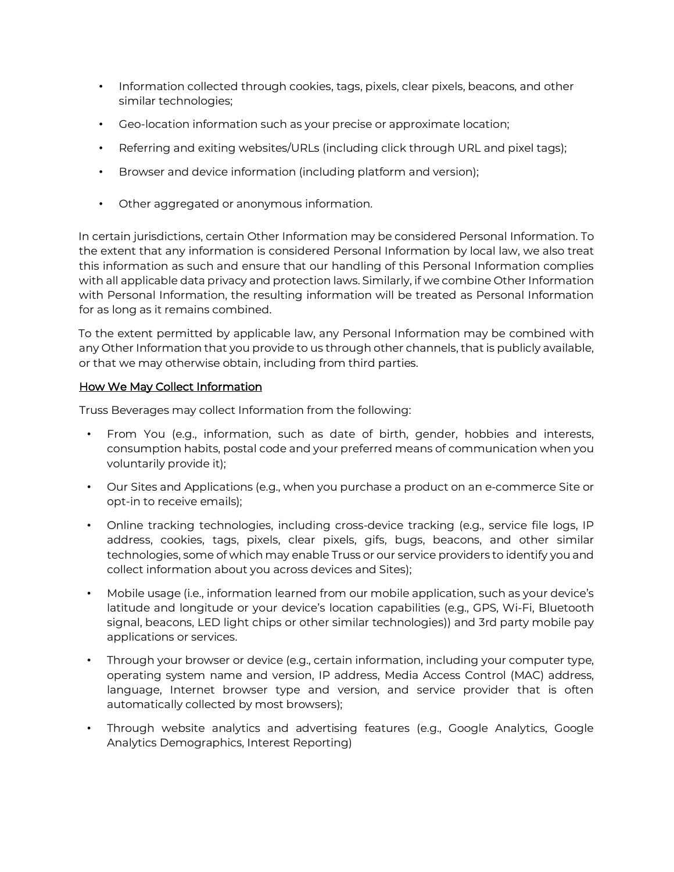- Information collected through cookies, tags, pixels, clear pixels, beacons, and other similar technologies;
- Geo-location information such as your precise or approximate location;
- Referring and exiting websites/URLs (including click through URL and pixel tags);
- Browser and device information (including platform and version);
- Other aggregated or anonymous information.

In certain jurisdictions, certain Other Information may be considered Personal Information. To the extent that any information is considered Personal Information by local law, we also treat this information as such and ensure that our handling of this Personal Information complies with all applicable data privacy and protection laws. Similarly, if we combine Other Information with Personal Information, the resulting information will be treated as Personal Information for as long as it remains combined.

To the extent permitted by applicable law, any Personal Information may be combined with any Other Information that you provide to us through other channels, that is publicly available, or that we may otherwise obtain, including from third parties.

#### How We May Collect Information

Truss Beverages may collect Information from the following:

- From You (e.g., information, such as date of birth, gender, hobbies and interests, consumption habits, postal code and your preferred means of communication when you voluntarily provide it);
- Our Sites and Applications (e.g., when you purchase a product on an e-commerce Site or opt-in to receive emails);
- Online tracking technologies, including cross-device tracking (e.g., service file logs, IP address, cookies, tags, pixels, clear pixels, gifs, bugs, beacons, and other similar technologies, some of which may enable Truss or our service providers to identify you and collect information about you across devices and Sites);
- Mobile usage (i.e., information learned from our mobile application, such as your device's latitude and longitude or your device's location capabilities (e.g., GPS, Wi-Fi, Bluetooth signal, beacons, LED light chips or other similar technologies)) and 3rd party mobile pay applications or services.
- Through your browser or device (e.g., certain information, including your computer type, operating system name and version, IP address, Media Access Control (MAC) address, language, Internet browser type and version, and service provider that is often automatically collected by most browsers);
- Through website analytics and advertising features (e.g., Google Analytics, Google Analytics Demographics, Interest Reporting)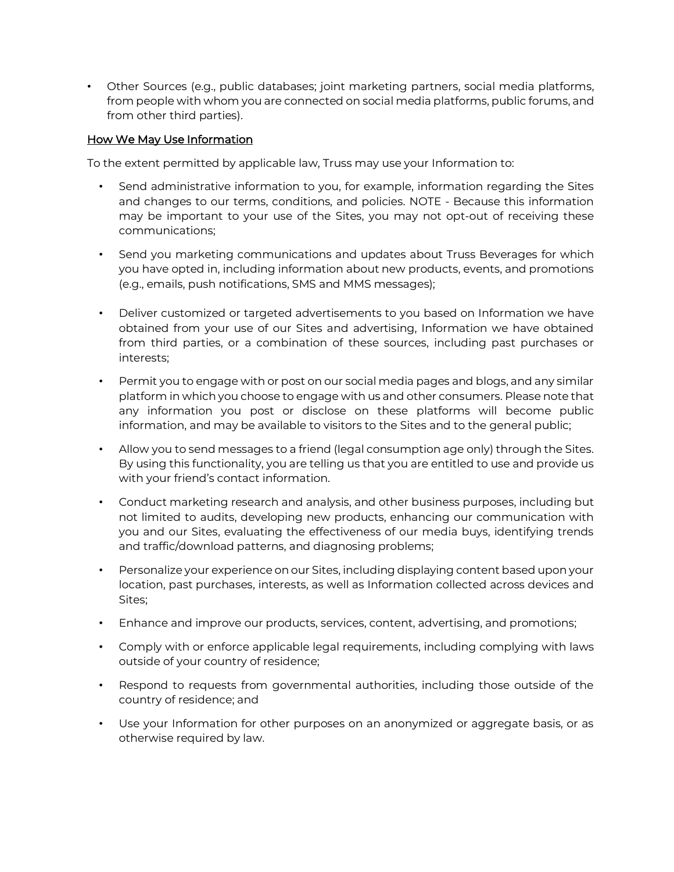• Other Sources (e.g., public databases; joint marketing partners, social media platforms, from people with whom you are connected on social media platforms, public forums, and from other third parties).

### How We May Use Information

To the extent permitted by applicable law, Truss may use your Information to:

- Send administrative information to you, for example, information regarding the Sites and changes to our terms, conditions, and policies. NOTE - Because this information may be important to your use of the Sites, you may not opt-out of receiving these communications;
- Send you marketing communications and updates about Truss Beverages for which you have opted in, including information about new products, events, and promotions (e.g., emails, push notifications, SMS and MMS messages);
- Deliver customized or targeted advertisements to you based on Information we have obtained from your use of our Sites and advertising, Information we have obtained from third parties, or a combination of these sources, including past purchases or interests;
- Permit you to engage with or post on our social media pages and blogs, and any similar platform in which you choose to engage with us and other consumers. Please note that any information you post or disclose on these platforms will become public information, and may be available to visitors to the Sites and to the general public;
- Allow you to send messages to a friend (legal consumption age only) through the Sites. By using this functionality, you are telling us that you are entitled to use and provide us with your friend's contact information.
- Conduct marketing research and analysis, and other business purposes, including but not limited to audits, developing new products, enhancing our communication with you and our Sites, evaluating the effectiveness of our media buys, identifying trends and traffic/download patterns, and diagnosing problems;
- Personalize your experience on our Sites, including displaying content based upon your location, past purchases, interests, as well as Information collected across devices and Sites;
- Enhance and improve our products, services, content, advertising, and promotions;
- Comply with or enforce applicable legal requirements, including complying with laws outside of your country of residence;
- Respond to requests from governmental authorities, including those outside of the country of residence; and
- Use your Information for other purposes on an anonymized or aggregate basis, or as otherwise required by law.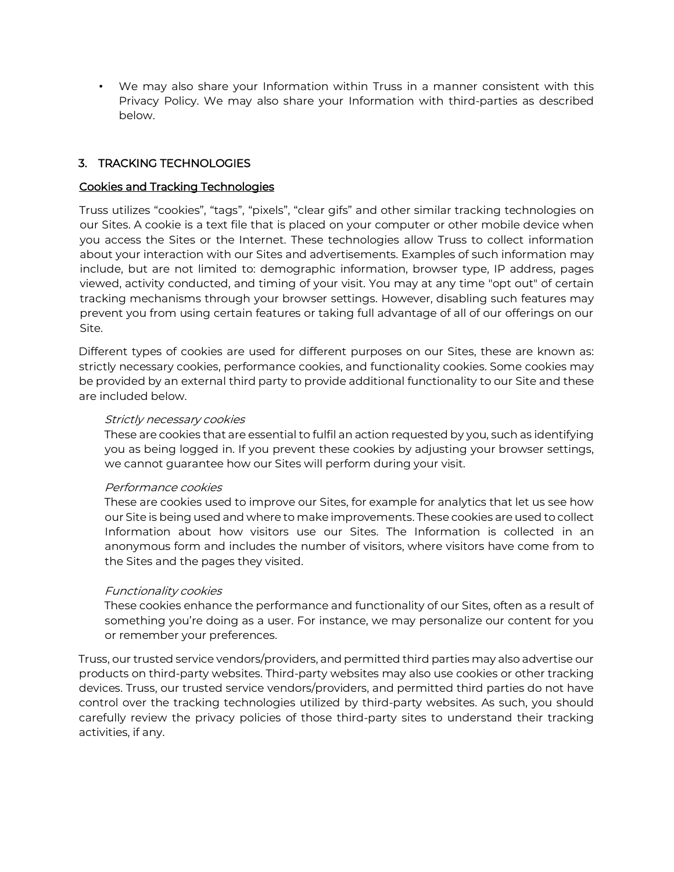• We may also share your Information within Truss in a manner consistent with this Privacy Policy. We may also share your Information with third-parties as described below.

## 3. TRACKING TECHNOLOGIES

#### Cookies and Tracking Technologies

Truss utilizes "cookies", "tags", "pixels", "clear gifs" and other similar tracking technologies on our Sites. A cookie is a text file that is placed on your computer or other mobile device when you access the Sites or the Internet. These technologies allow Truss to collect information about your interaction with our Sites and advertisements. Examples of such information may include, but are not limited to: demographic information, browser type, IP address, pages viewed, activity conducted, and timing of your visit. You may at any time "opt out" of certain tracking mechanisms through your browser settings. However, disabling such features may prevent you from using certain features or taking full advantage of all of our offerings on our Site.

Different types of cookies are used for different purposes on our Sites, these are known as: strictly necessary cookies, performance cookies, and functionality cookies. Some cookies may be provided by an external third party to provide additional functionality to our Site and these are included below.

#### Strictly necessary cookies

These are cookies that are essential to fulfil an action requested by you, such as identifying you as being logged in. If you prevent these cookies by adjusting your browser settings, we cannot guarantee how our Sites will perform during your visit.

#### Performance cookies

These are cookies used to improve our Sites, for example for analytics that let us see how our Site is being used and where to make improvements. These cookies are used to collect Information about how visitors use our Sites. The Information is collected in an anonymous form and includes the number of visitors, where visitors have come from to the Sites and the pages they visited.

#### Functionality cookies

These cookies enhance the performance and functionality of our Sites, often as a result of something you're doing as a user. For instance, we may personalize our content for you or remember your preferences.

Truss, our trusted service vendors/providers, and permitted third parties may also advertise our products on third-party websites. Third-party websites may also use cookies or other tracking devices. Truss, our trusted service vendors/providers, and permitted third parties do not have control over the tracking technologies utilized by third-party websites. As such, you should carefully review the privacy policies of those third-party sites to understand their tracking activities, if any.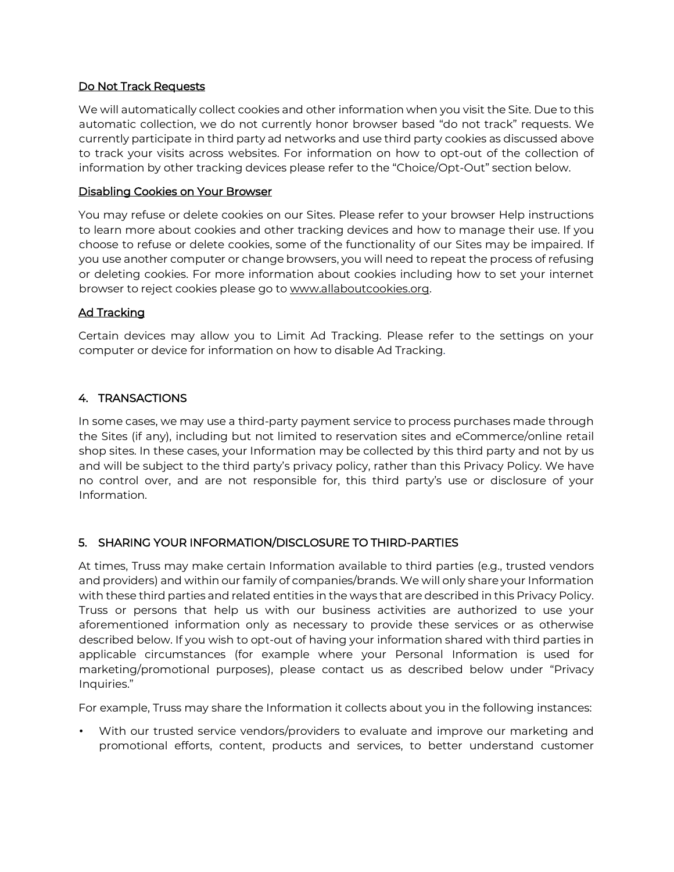#### Do Not Track Requests

We will automatically collect cookies and other information when you visit the Site. Due to this automatic collection, we do not currently honor browser based "do not track" requests. We currently participate in third party ad networks and use third party cookies as discussed above to track your visits across websites. For information on how to opt-out of the collection of information by other tracking devices please refer to the "Choice/Opt-Out" section below.

#### Disabling Cookies on Your Browser

You may refuse or delete cookies on our Sites. Please refer to your browser Help instructions to learn more about cookies and other tracking devices and how to manage their use. If you choose to refuse or delete cookies, some of the functionality of our Sites may be impaired. If you use another computer or change browsers, you will need to repeat the process of refusing or deleting cookies. For more information about cookies including how to set your internet br[o](http://www.allaboutcookies.org/)wser to reject cookies please go to [www.allaboutcookies.org.](http://www.allaboutcookies.org/)

#### Ad Tracking

Certain devices may allow you to Limit Ad Tracking. Please refer to the settings on your computer or device for information on how to disable Ad Tracking.

#### 4. TRANSACTIONS

In some cases, we may use a third-party payment service to process purchases made through the Sites (if any), including but not limited to reservation sites and eCommerce/online retail shop sites. In these cases, your Information may be collected by this third party and not by us and will be subject to the third party's privacy policy, rather than this Privacy Policy. We have no control over, and are not responsible for, this third party's use or disclosure of your Information.

#### 5. SHARING YOUR INFORMATION/DISCLOSURE TO THIRD-PARTIES

At times, Truss may make certain Information available to third parties (e.g., trusted vendors and providers) and within our family of companies/brands. We will only share your Information with these third parties and related entities in the ways that are described in this Privacy Policy. Truss or persons that help us with our business activities are authorized to use your aforementioned information only as necessary to provide these services or as otherwise described below. If you wish to opt-out of having your information shared with third parties in applicable circumstances (for example where your Personal Information is used for marketing/promotional purposes), please contact us as described below under "Privacy Inquiries."

For example, Truss may share the Information it collects about you in the following instances:

• With our trusted service vendors/providers to evaluate and improve our marketing and promotional efforts, content, products and services, to better understand customer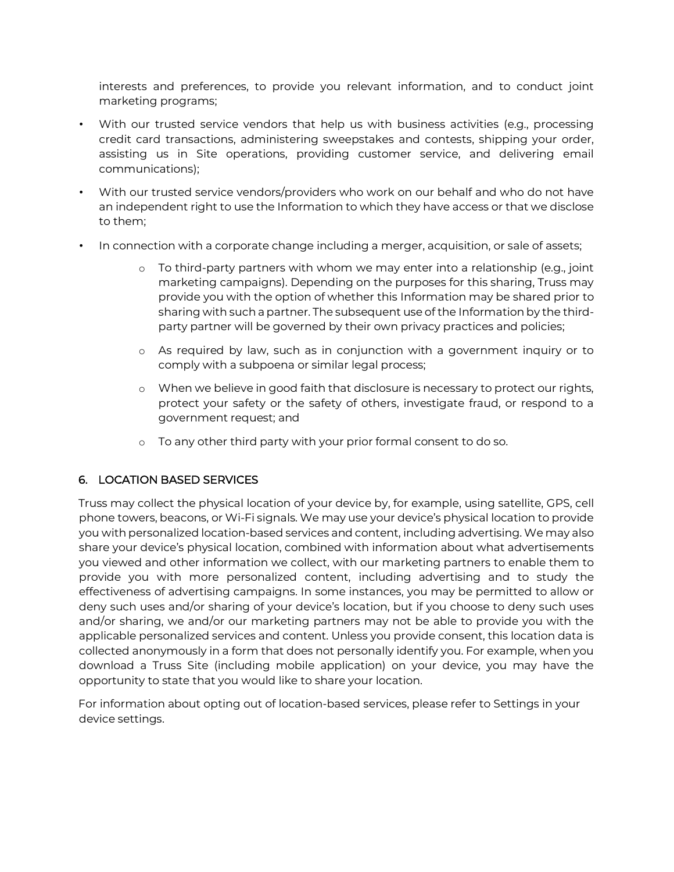interests and preferences, to provide you relevant information, and to conduct joint marketing programs;

- With our trusted service vendors that help us with business activities (e.g., processing credit card transactions, administering sweepstakes and contests, shipping your order, assisting us in Site operations, providing customer service, and delivering email communications);
- With our trusted service vendors/providers who work on our behalf and who do not have an independent right to use the Information to which they have access or that we disclose to them;
- In connection with a corporate change including a merger, acquisition, or sale of assets;
	- o To third-party partners with whom we may enter into a relationship (e.g., joint marketing campaigns). Depending on the purposes for this sharing, Truss may provide you with the option of whether this Information may be shared prior to sharing with such a partner. The subsequent use of the Information by the thirdparty partner will be governed by their own privacy practices and policies;
	- o As required by law, such as in conjunction with a government inquiry or to comply with a subpoena or similar legal process;
	- o When we believe in good faith that disclosure is necessary to protect our rights, protect your safety or the safety of others, investigate fraud, or respond to a government request; and
	- o To any other third party with your prior formal consent to do so.

## 6. LOCATION BASED SERVICES

Truss may collect the physical location of your device by, for example, using satellite, GPS, cell phone towers, beacons, or Wi-Fi signals. We may use your device's physical location to provide you with personalized location-based services and content, including advertising. We may also share your device's physical location, combined with information about what advertisements you viewed and other information we collect, with our marketing partners to enable them to provide you with more personalized content, including advertising and to study the effectiveness of advertising campaigns. In some instances, you may be permitted to allow or deny such uses and/or sharing of your device's location, but if you choose to deny such uses and/or sharing, we and/or our marketing partners may not be able to provide you with the applicable personalized services and content. Unless you provide consent, this location data is collected anonymously in a form that does not personally identify you. For example, when you download a Truss Site (including mobile application) on your device, you may have the opportunity to state that you would like to share your location.

For information about opting out of location-based services, please refer to Settings in your device settings.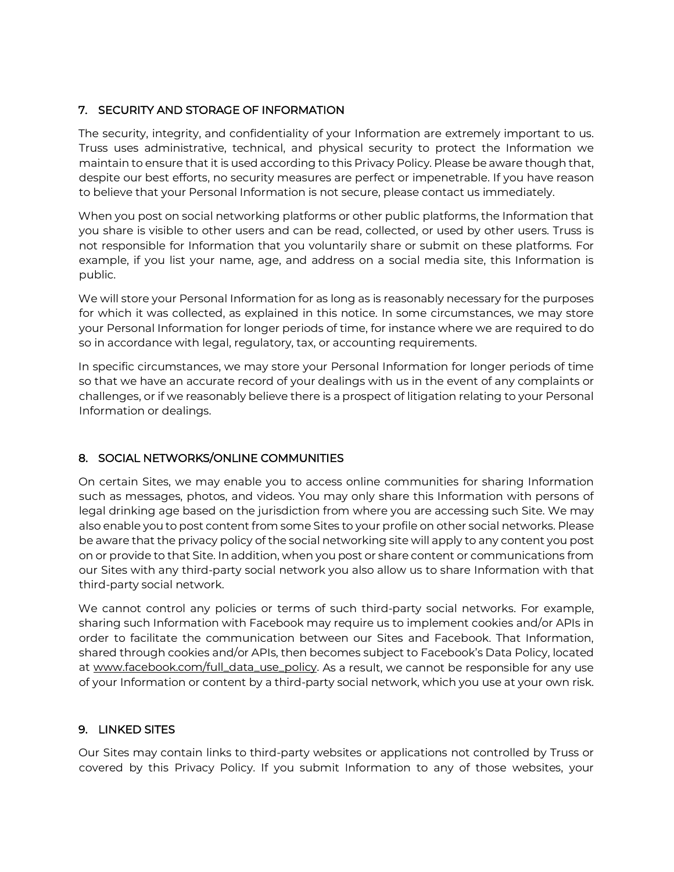## 7. SECURITY AND STORAGE OF INFORMATION

The security, integrity, and confidentiality of your Information are extremely important to us. Truss uses administrative, technical, and physical security to protect the Information we maintain to ensure that it is used according to this Privacy Policy. Please be aware though that, despite our best efforts, no security measures are perfect or impenetrable. If you have reason to believe that your Personal Information is not secure, please contact us immediately.

When you post on social networking platforms or other public platforms, the Information that you share is visible to other users and can be read, collected, or used by other users. Truss is not responsible for Information that you voluntarily share or submit on these platforms. For example, if you list your name, age, and address on a social media site, this Information is public.

We will store your Personal Information for as long as is reasonably necessary for the purposes for which it was collected, as explained in this notice. In some circumstances, we may store your Personal Information for longer periods of time, for instance where we are required to do so in accordance with legal, regulatory, tax, or accounting requirements.

In specific circumstances, we may store your Personal Information for longer periods of time so that we have an accurate record of your dealings with us in the event of any complaints or challenges, or if we reasonably believe there is a prospect of litigation relating to your Personal Information or dealings.

# 8. SOCIAL NETWORKS/ONLINE COMMUNITIES

On certain Sites, we may enable you to access online communities for sharing Information such as messages, photos, and videos. You may only share this Information with persons of legal drinking age based on the jurisdiction from where you are accessing such Site. We may also enable you to post content from some Sites to your profile on other social networks. Please be aware that the privacy policy of the social networking site will apply to any content you post on or provide to that Site. In addition, when you post or share content or communications from our Sites with any third-party social network you also allow us to share Information with that third-party social network.

We cannot control any policies or terms of such third-party social networks. For example, sharing such Information with Facebook may require us to implement cookies and/or APIs in order to facilitate the communication between our Sites and Facebook. That Information, shared through cookies and/or APIs, then becomes subject to Facebook's Data Policy, located a[t](https://www.facebook.com/full_data_use_policy) [www.facebook.com/full\\_data\\_use\\_policy. A](https://www.facebook.com/full_data_use_policy)s a result, we cannot be responsible for any use of your Information or content by a third-party social network, which you use at your own risk.

## 9. LINKED SITES

Our Sites may contain links to third-party websites or applications not controlled by Truss or covered by this Privacy Policy. If you submit Information to any of those websites, your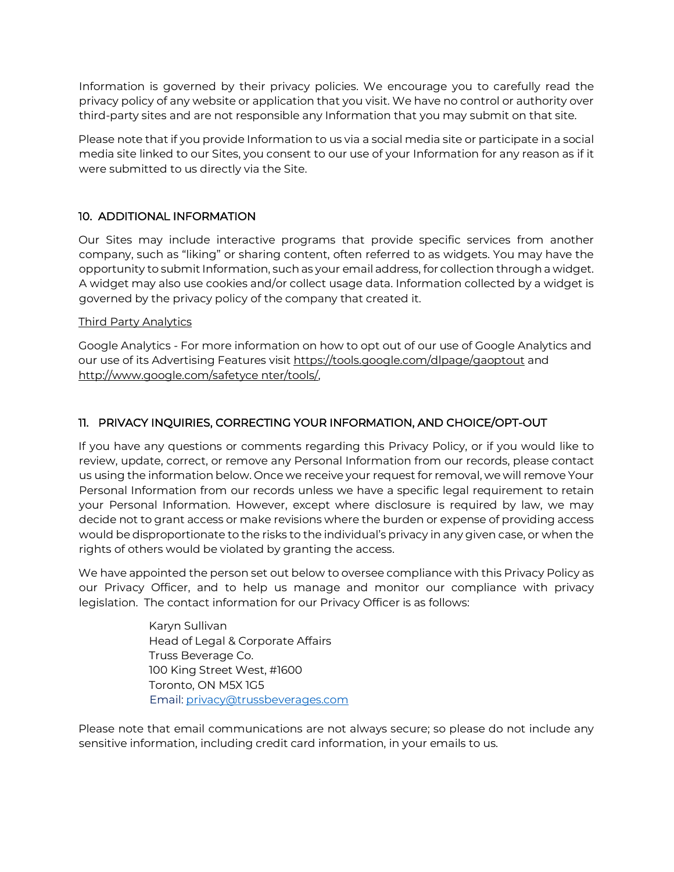Information is governed by their privacy policies. We encourage you to carefully read the privacy policy of any website or application that you visit. We have no control or authority over third-party sites and are not responsible any Information that you may submit on that site.

Please note that if you provide Information to us via a social media site or participate in a social media site linked to our Sites, you consent to our use of your Information for any reason as if it were submitted to us directly via the Site.

## 10. ADDITIONAL INFORMATION

Our Sites may include interactive programs that provide specific services from another company, such as "liking" or sharing content, often referred to as widgets. You may have the opportunity to submit Information, such as your email address, for collection through a widget. A widget may also use cookies and/or collect usage data. Information collected by a widget is governed by the privacy policy of the company that created it.

#### Third Party Analytics

Google Analytics - For more information on how to opt out of our use of Google Analytics and our use of i[t](https://tools.google.com/dlpage/gaoptout)s Advertising Features visit <https://tools.google.com/dlpage/gaoptout> an[d](http://www.google.com/safetycenter/tools/) [http://www.google.com/safetyce nter/tools/,](http://www.google.com/safetycenter/tools/)

## 11. PRIVACY INQUIRIES, CORRECTING YOUR INFORMATION, AND CHOICE/OPT-OUT

If you have any questions or comments regarding this Privacy Policy, or if you would like to review, update, correct, or remove any Personal Information from our records, please contact us using the information below. Once we receive your request for removal, we will remove Your Personal Information from our records unless we have a specific legal requirement to retain your Personal Information. However, except where disclosure is required by law, we may decide not to grant access or make revisions where the burden or expense of providing access would be disproportionate to the risks to the individual's privacy in any given case, or when the rights of others would be violated by granting the access.

We have appointed the person set out below to oversee compliance with this Privacy Policy as our Privacy Officer, and to help us manage and monitor our compliance with privacy legislation. The contact information for our Privacy Officer is as follows:

> Karyn Sullivan Head of Legal & Corporate Affairs Truss Beverage Co. 100 King Street West, #1600 Toronto, ON M5X 1G5 Email: privacy@trussbeverages.com

Please note that email communications are not always secure; so please do not include any sensitive information, including credit card information, in your emails to us.